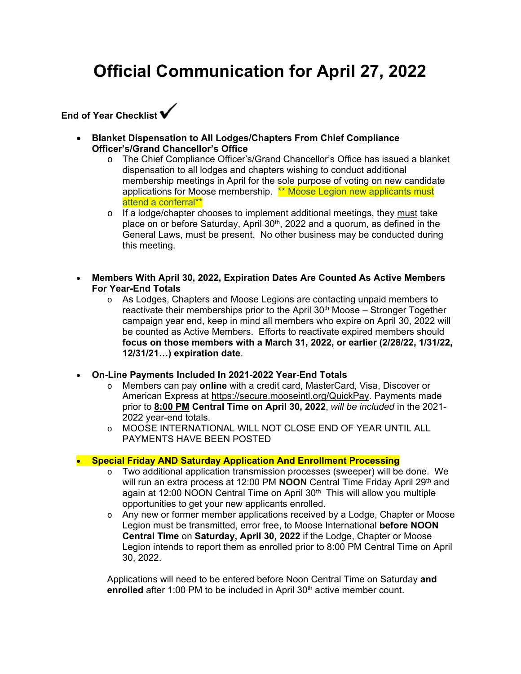# **Official Communication for April 27, 2022**



- **Blanket Dispensation to All Lodges/Chapters From Chief Compliance Officer's/Grand Chancellor's Office** 
	- o The Chief Compliance Officer's/Grand Chancellor's Office has issued a blanket dispensation to all lodges and chapters wishing to conduct additional membership meetings in April for the sole purpose of voting on new candidate applications for Moose membership. \*\* Moose Legion new applicants must attend a conferral\*\*
	- $\circ$  If a lodge/chapter chooses to implement additional meetings, they must take place on or before Saturday, April 30<sup>th</sup>, 2022 and a quorum, as defined in the General Laws, must be present. No other business may be conducted during this meeting.
- **Members With April 30, 2022, Expiration Dates Are Counted As Active Members For Year-End Totals**
	- o As Lodges, Chapters and Moose Legions are contacting unpaid members to reactivate their memberships prior to the April  $30<sup>th</sup>$  Moose – Stronger Together campaign year end, keep in mind all members who expire on April 30, 2022 will be counted as Active Members. Efforts to reactivate expired members should **focus on those members with a March 31, 2022, or earlier (2/28/22, 1/31/22, 12/31/21…) expiration date**.
- **On-Line Payments Included In 2021-2022 Year-End Totals**
	- o Members can pay **online** with a credit card, MasterCard, Visa, Discover or American Express at https://secure.mooseintl.org/QuickPay. Payments made prior to **8:00 PM Central Time on April 30, 2022**, *will be included* in the 2021- 2022 year-end totals.
	- o MOOSE INTERNATIONAL WILL NOT CLOSE END OF YEAR UNTIL ALL PAYMENTS HAVE BEEN POSTED

#### **Special Friday AND Saturday Application And Enrollment Processing**

- o Two additional application transmission processes (sweeper) will be done. We will run an extra process at 12:00 PM **NOON** Central Time Friday April 29<sup>th</sup> and again at 12:00 NOON Central Time on April 30<sup>th</sup> This will allow you multiple opportunities to get your new applicants enrolled.
- $\circ$  Any new or former member applications received by a Lodge, Chapter or Moose Legion must be transmitted, error free, to Moose International **before NOON Central Time** on **Saturday, April 30, 2022** if the Lodge, Chapter or Moose Legion intends to report them as enrolled prior to 8:00 PM Central Time on April 30, 2022.

Applications will need to be entered before Noon Central Time on Saturday **and**  enrolled after 1:00 PM to be included in April 30<sup>th</sup> active member count.